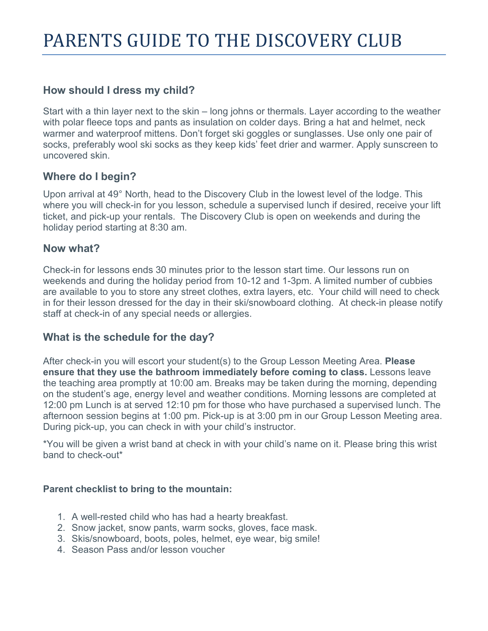#### **How should I dress my child?**

Start with a thin layer next to the skin – long johns or thermals. Layer according to the weather with polar fleece tops and pants as insulation on colder days. Bring a hat and helmet, neck warmer and waterproof mittens. Don't forget ski goggles or sunglasses. Use only one pair of socks, preferably wool ski socks as they keep kids' feet drier and warmer. Apply sunscreen to uncovered skin.

## **Where do I begin?**

Upon arrival at 49° North, head to the Discovery Club in the lowest level of the lodge. This where you will check-in for you lesson, schedule a supervised lunch if desired, receive your lift ticket, and pick-up your rentals. The Discovery Club is open on weekends and during the holiday period starting at 8:30 am.

#### **Now what?**

Check-in for lessons ends 30 minutes prior to the lesson start time. Our lessons run on weekends and during the holiday period from 10-12 and 1-3pm. A limited number of cubbies are available to you to store any street clothes, extra layers, etc. Your child will need to check in for their lesson dressed for the day in their ski/snowboard clothing. At check-in please notify staff at check-in of any special needs or allergies.

## **What is the schedule for the day?**

After check-in you will escort your student(s) to the Group Lesson Meeting Area. **Please ensure that they use the bathroom immediately before coming to class.** Lessons leave the teaching area promptly at 10:00 am. Breaks may be taken during the morning, depending on the student's age, energy level and weather conditions. Morning lessons are completed at 12:00 pm Lunch is at served 12:10 pm for those who have purchased a supervised lunch. The afternoon session begins at 1:00 pm. Pick-up is at 3:00 pm in our Group Lesson Meeting area. During pick-up, you can check in with your child's instructor.

\*You will be given a wrist band at check in with your child's name on it. Please bring this wrist band to check-out\*

#### **Parent checklist to bring to the mountain:**

- 1. A well-rested child who has had a hearty breakfast.
- 2. Snow jacket, snow pants, warm socks, gloves, face mask.
- 3. Skis/snowboard, boots, poles, helmet, eye wear, big smile!
- 4. Season Pass and/or lesson voucher